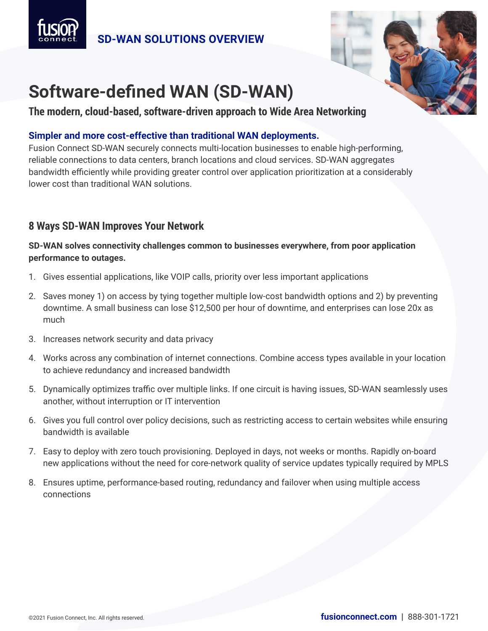



**The modern, cloud-based, software-driven approach to Wide Area Networking**

## **Simpler and more cost-effective than traditional WAN deployments.**

Fusion Connect SD-WAN securely connects multi-location businesses to enable high-performing, reliable connections to data centers, branch locations and cloud services. SD-WAN aggregates bandwidth efficiently while providing greater control over application prioritization at a considerably lower cost than traditional WAN solutions.

## **8 Ways SD-WAN Improves Your Network**

### **SD-WAN solves connectivity challenges common to businesses everywhere, from poor application performance to outages.**

- 1. Gives essential applications, like VOIP calls, priority over less important applications
- 2. Saves money 1) on access by tying together multiple low-cost bandwidth options and 2) by preventing downtime. A small business can lose \$12,500 per hour of downtime, and enterprises can lose 20x as much
- 3. Increases network security and data privacy
- 4. Works across any combination of internet connections. Combine access types available in your location to achieve redundancy and increased bandwidth
- 5. Dynamically optimizes traffic over multiple links. If one circuit is having issues, SD-WAN seamlessly uses another, without interruption or IT intervention
- 6. Gives you full control over policy decisions, such as restricting access to certain websites while ensuring bandwidth is available
- 7. Easy to deploy with zero touch provisioning. Deployed in days, not weeks or months. Rapidly on-board new applications without the need for core-network quality of service updates typically required by MPLS
- 8. Ensures uptime, performance-based routing, redundancy and failover when using multiple access connections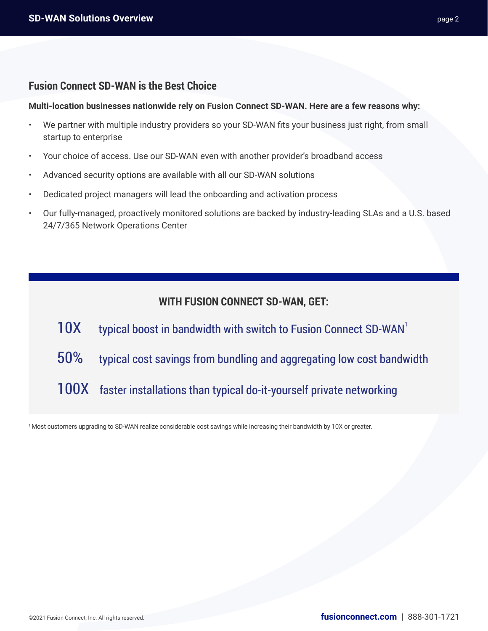### **Fusion Connect SD-WAN is the Best Choice**

**Multi-location businesses nationwide rely on Fusion Connect SD-WAN. Here are a few reasons why:**

- We partner with multiple industry providers so your SD-WAN fits your business just right, from small startup to enterprise
- Your choice of access. Use our SD-WAN even with another provider's broadband access
- Advanced security options are available with all our SD-WAN solutions
- Dedicated project managers will lead the onboarding and activation process
- Our fully-managed, proactively monitored solutions are backed by industry-leading SLAs and a U.S. based 24/7/365 Network Operations Center

## **WITH FUSION CONNECT SD-WAN, GET:**

- 10X typical boost in bandwidth with switch to Fusion Connect SD-WAN<sup>1</sup>
- 50% typical cost savings from bundling and aggregating low cost bandwidth
- 100X faster installations than typical do-it-yourself private networking

1 Most customers upgrading to SD-WAN realize considerable cost savings while increasing their bandwidth by 10X or greater.